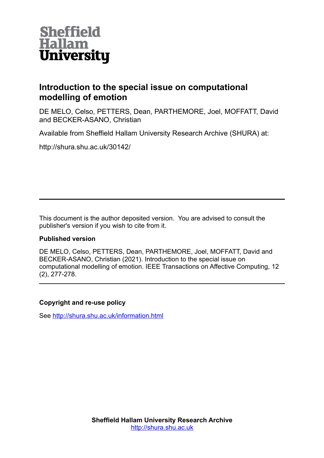

## **Introduction to the special issue on computational modelling of emotion**

DE MELO, Celso, PETTERS, Dean, PARTHEMORE, Joel, MOFFATT, David and BECKER-ASANO, Christian

Available from Sheffield Hallam University Research Archive (SHURA) at:

http://shura.shu.ac.uk/30142/

This document is the author deposited version. You are advised to consult the publisher's version if you wish to cite from it.

## **Published version**

DE MELO, Celso, PETTERS, Dean, PARTHEMORE, Joel, MOFFATT, David and BECKER-ASANO, Christian (2021). Introduction to the special issue on computational modelling of emotion. IEEE Transactions on Affective Computing, 12 (2), 277-278.

## **Copyright and re-use policy**

See<http://shura.shu.ac.uk/information.html>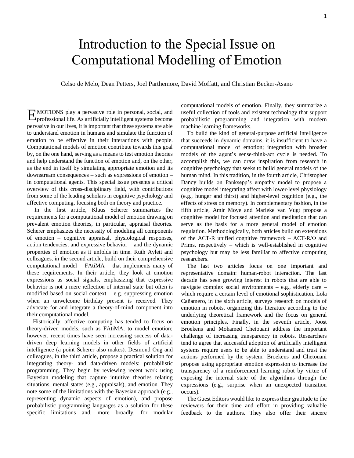## Introduction to the Special Issue on Computational Modelling of Emotion

Celso de Melo, Dean Petters, Joel Parthemore, David Moffatt, and Christian Becker-Asano

MOTIONS play a pervasive role in personal, social, and **EMOTIONS** play a pervasive role in personal, social, and professional life. As artificially intelligent systems become pervasive in our lives, it is important that these systems are able to understand emotion in humans and simulate the function of emotion to be effective in their interactions with people. Computational models of emotion contribute towards this goal by, on the one hand, serving as a means to test emotion theories and help understand the function of emotion and, on the other, as the end in itself by simulating appropriate emotion and its downstream consequences – such as expressions of emotion – in computational agents. This special issue presents a critical overview of this cross-disciplinary field, with contributions from some of the leading scholars in cognitive psychology and affective computing, focusing both on theory and practice.

In the first article, Klaus Scherer summarizes the requirements for a computational model of emotion drawing on prevalent emotion theories, in particular, appraisal theories. Scherer emphasizes the necessity of modeling all components of emotion – cognitive appraisal, physiological responses, action tendencies, and expressive behavior – and the dynamic properties of emotion as it unfolds in time. Ruth Aylett and colleagues, in the second article, build on their comprehensive computational model – FAtiMA – that implements many of these requirements. In their article, they look at emotion expressions as social signals, emphasizing that expressive behavior is not a mere reflection of internal state but often is modified based on social context – e.g. suppressing emotion when an unwelcome birthday present is received. They advocate for and integrate a theory-of-mind component into their computational model.

Historically, affective computing has tended to focus on theory-driven models, such as FAtiMA, to model emotion; however, recent times have seen increasing success of datadriven deep learning models in other fields of artificial intelligence (a point Scherer also makes). Desmond Ong and colleagues, in the third article, propose a practical solution for integrating theory- and data-driven models: probabilistic programming. They begin by reviewing recent work using Bayesian modeling that capture intuitive theories relating situations, mental states (e.g., appraisals), and emotion. They note some of the limitations with the Bayesian approach (e.g., representing dynamic aspects of emotion), and propose probabilistic programming languages as a solution for these specific limitations and, more broadly, for modular computational models of emotion. Finally, they summarize a useful collection of tools and existent technology that support probabilistic programming and integration with modern machine learning frameworks.

To build the kind of general-purpose artificial intelligence that succeeds in dynamic domains, it is insufficient to have a computational model of emotion; integration with broader models of the agent's sense-think-act cycle is needed. To accomplish this, we can draw inspiration from research in cognitive psychology that seeks to build general models of the human mind. In this tradition, in the fourth article, Christopher Dancy builds on Panksepp's empathy model to propose a cognitive model integrating affect with lower-level physiology (e.g., hunger and thirst) and higher-level cognition (e.g., the effects of stress on memory). In complementary fashion, in the fifth article, Amir Moye and Marieke van Vugt propose a cognitive model for focused attention and meditation that can serve as the basis for a more general model of emotion regulation. Methodologically, both articles build on extensions of the ACT-R unified cognitive framework – ACT-R/Φ and Prims, respectively – which is well-established in cognitive psychology but may be less familiar to affective computing researchers.

The last two articles focus on one important and representative domain: human-robot interaction. The last decade has seen growing interest in robots that are able to navigate complex social environments – e.g., elderly care – which require a certain level of emotional sophistication. Lola Cañamero, in the sixth article, surveys research on models of emotion in robots, organizing this literature according to the underlying theoretical framework and the focus on general emotion principles. Finally, in the seventh article, Joost Broekens and Mohamed Chetouani address the important challenge of increasing transparency in robots. Researchers tend to agree that successful adoption of artificially intelligent systems require users to be able to understand and trust the actions performed by the system. Broekens and Chetouani propose using appropriate emotion expression to increase the transparency of a reinforcement learning robot by virtue of exposing the internal state of the algorithms through the expressions (e.g., surprise when an unexpected transition occurs).

The Guest Editors would like to express their gratitude to the reviewers for their time and effort in providing valuable feedback to the authors. They also offer their sincere